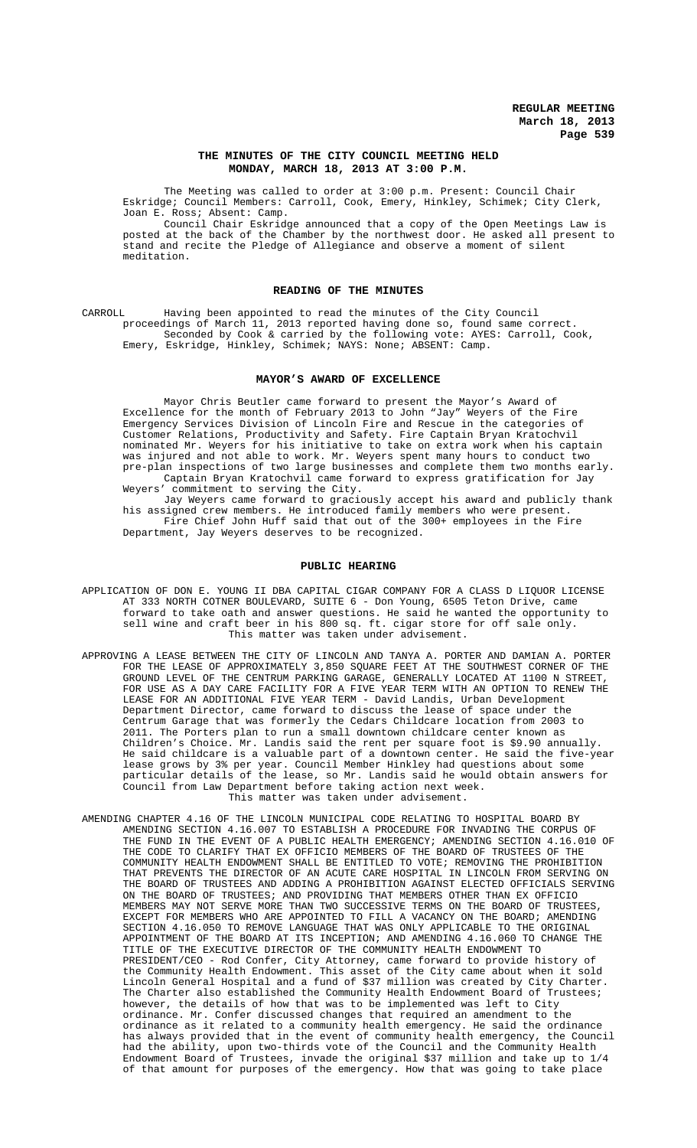### **THE MINUTES OF THE CITY COUNCIL MEETING HELD MONDAY, MARCH 18, 2013 AT 3:00 P.M.**

The Meeting was called to order at 3:00 p.m. Present: Council Chair Eskridge; Council Members: Carroll, Cook, Emery, Hinkley, Schimek; City Clerk, Joan E. Ross; Absent: Camp.

Council Chair Eskridge announced that a copy of the Open Meetings Law is posted at the back of the Chamber by the northwest door. He asked all present to stand and recite the Pledge of Allegiance and observe a moment of silent meditation.

# **READING OF THE MINUTES**

CARROLL Having been appointed to read the minutes of the City Council proceedings of March 11, 2013 reported having done so, found same correct. Seconded by Cook & carried by the following vote: AYES: Carroll, Cook, Emery, Eskridge, Hinkley, Schimek; NAYS: None; ABSENT: Camp.

#### **MAYOR'S AWARD OF EXCELLENCE**

Mayor Chris Beutler came forward to present the Mayor's Award of Excellence for the month of February 2013 to John "Jay" Weyers of the Fire Emergency Services Division of Lincoln Fire and Rescue in the categories of Customer Relations, Productivity and Safety. Fire Captain Bryan Kratochvil nominated Mr. Weyers for his initiative to take on extra work when his captain was injured and not able to work. Mr. Weyers spent many hours to conduct two pre-plan inspections of two large businesses and complete them two months early. Captain Bryan Kratochvil came forward to express gratification for Jay commitment to serving the City.

Jay Weyers came forward to graciously accept his award and publicly thank his assigned crew members. He introduced family members who were present. Fire Chief John Huff said that out of the 300+ employees in the Fire Department, Jay Weyers deserves to be recognized.

#### **PUBLIC HEARING**

- APPLICATION OF DON E. YOUNG II DBA CAPITAL CIGAR COMPANY FOR A CLASS D LIQUOR LICENSE AT 333 NORTH COTNER BOULEVARD, SUITE 6 - Don Young, 6505 Teton Drive, came forward to take oath and answer questions. He said he wanted the opportunity to sell wine and craft beer in his 800 sq. ft. cigar store for off sale only. This matter was taken under advisement.
- APPROVING A LEASE BETWEEN THE CITY OF LINCOLN AND TANYA A. PORTER AND DAMIAN A. PORTER FOR THE LEASE OF APPROXIMATELY 3,850 SQUARE FEET AT THE SOUTHWEST CORNER OF THE GROUND LEVEL OF THE CENTRUM PARKING GARAGE, GENERALLY LOCATED AT 1100 N STREET, FOR USE AS A DAY CARE FACILITY FOR A FIVE YEAR TERM WITH AN OPTION TO RENEW THE LEASE FOR AN ADDITIONAL FIVE YEAR TERM - David Landis, Urban Development Department Director, came forward to discuss the lease of space under the Centrum Garage that was formerly the Cedars Childcare location from 2003 to 2011. The Porters plan to run a small downtown childcare center known as Children's Choice. Mr. Landis said the rent per square foot is \$9.90 annually. He said childcare is a valuable part of a downtown center. He said the five-year lease grows by 3% per year. Council Member Hinkley had questions about some particular details of the lease, so Mr. Landis said he would obtain answers for Council from Law Department before taking action next week. This matter was taken under advisement.
- AMENDING CHAPTER 4.16 OF THE LINCOLN MUNICIPAL CODE RELATING TO HOSPITAL BOARD BY AMENDING SECTION 4.16.007 TO ESTABLISH A PROCEDURE FOR INVADING THE CORPUS OF THE FUND IN THE EVENT OF A PUBLIC HEALTH EMERGENCY; AMENDING SECTION 4.16.010 OF THE CODE TO CLARIFY THAT EX OFFICIO MEMBERS OF THE BOARD OF TRUSTEES OF THE COMMUNITY HEALTH ENDOWMENT SHALL BE ENTITLED TO VOTE; REMOVING THE PROHIBITION THAT PREVENTS THE DIRECTOR OF AN ACUTE CARE HOSPITAL IN LINCOLN FROM SERVING ON THE BOARD OF TRUSTEES AND ADDING A PROHIBITION AGAINST ELECTED OFFICIALS SERVING ON THE BOARD OF TRUSTEES; AND PROVIDING THAT MEMBERS OTHER THAN EX OFFICIO MEMBERS MAY NOT SERVE MORE THAN TWO SUCCESSIVE TERMS ON THE BOARD OF TRUSTEES, EXCEPT FOR MEMBERS WHO ARE APPOINTED TO FILL A VACANCY ON THE BOARD; AMENDING SECTION 4.16.050 TO REMOVE LANGUAGE THAT WAS ONLY APPLICABLE TO THE ORIGINAL APPOINTMENT OF THE BOARD AT ITS INCEPTION; AND AMENDING 4.16.060 TO CHANGE THE TITLE OF THE EXECUTIVE DIRECTOR OF THE COMMUNITY HEALTH ENDOWMENT TO PRESIDENT/CEO - Rod Confer, City Attorney, came forward to provide history of the Community Health Endowment. This asset of the City came about when it sold Lincoln General Hospital and a fund of \$37 million was created by City Charter. The Charter also established the Community Health Endowment Board of Trustees; however, the details of how that was to be implemented was left to City ordinance. Mr. Confer discussed changes that required an amendment to the ordinance as it related to a community health emergency. He said the ordinance has always provided that in the event of community health emergency, the Council had the ability, upon two-thirds vote of the Council and the Community Health Endowment Board of Trustees, invade the original \$37 million and take up to 1/4 of that amount for purposes of the emergency. How that was going to take place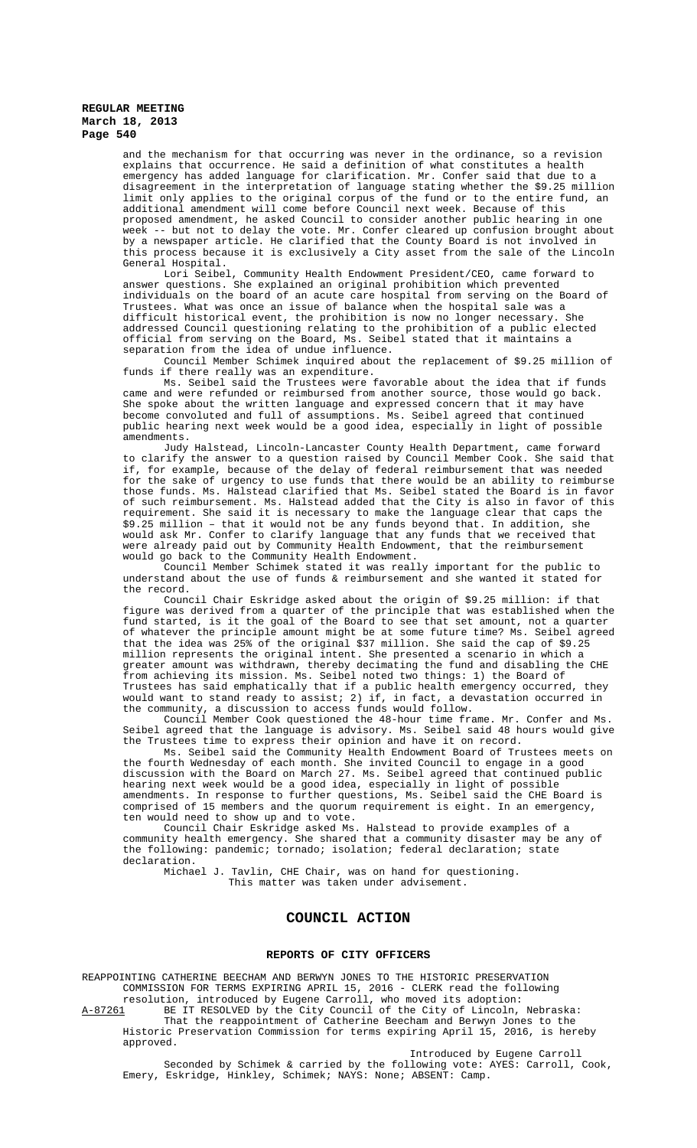and the mechanism for that occurring was never in the ordinance, so a revision explains that occurrence. He said a definition of what constitutes a health emergency has added language for clarification. Mr. Confer said that due to a disagreement in the interpretation of language stating whether the \$9.25 million limit only applies to the original corpus of the fund or to the entire fund, an additional amendment will come before Council next week. Because of this proposed amendment, he asked Council to consider another public hearing in one week -- but not to delay the vote. Mr. Confer cleared up confusion brought about by a newspaper article. He clarified that the County Board is not involved in this process because it is exclusively a City asset from the sale of the Lincoln

General Hospital.<br>Lori Seibel, Community Health Endowment President/CEO, came forward to answer questions. She explained an original prohibition which prevented individuals on the board of an acute care hospital from serving on the Board of Trustees. What was once an issue of balance when the hospital sale was a difficult historical event, the prohibition is now no longer necessary. She addressed Council questioning relating to the prohibition of a public elected official from serving on the Board, Ms. Seibel stated that it maintains a separation from the idea of undue influence.

Council Member Schimek inquired about the replacement of \$9.25 million of funds if there really was an expenditure.

Ms. Seibel said the Trustees were favorable about the idea that if funds came and were refunded or reimbursed from another source, those would go back. She spoke about the written language and expressed concern that it may have become convoluted and full of assumptions. Ms. Seibel agreed that continued public hearing next week would be a good idea, especially in light of possible amendments.

Judy Halstead, Lincoln-Lancaster County Health Department, came forward to clarify the answer to a question raised by Council Member Cook. She said that if, for example, because of the delay of federal reimbursement that was needed for the sake of urgency to use funds that there would be an ability to reimburse those funds. Ms. Halstead clarified that Ms. Seibel stated the Board is in favor of such reimbursement. Ms. Halstead added that the City is also in favor of this requirement. She said it is necessary to make the language clear that caps the \$9.25 million – that it would not be any funds beyond that. In addition, she would ask Mr. Confer to clarify language that any funds that we received that were already paid out by Community Health Endowment, that the reimbursement would go back to the Community Health Endowment.

Council Member Schimek stated it was really important for the public to understand about the use of funds & reimbursement and she wanted it stated for the record.

Council Chair Eskridge asked about the origin of \$9.25 million: if that figure was derived from a quarter of the principle that was established when the fund started, is it the goal of the Board to see that set amount, not a quarter of whatever the principle amount might be at some future time? Ms. Seibel agreed that the idea was 25% of the original \$37 million. She said the cap of \$9.25 million represents the original intent. She presented a scenario in which a greater amount was withdrawn, thereby decimating the fund and disabling the CHE from achieving its mission. Ms. Seibel noted two things: 1) the Board of Trustees has said emphatically that if a public health emergency occurred, they would want to stand ready to assist; 2) if, in fact, a devastation occurred in the community, a discussion to access funds would follow.

Council Member Cook questioned the 48-hour time frame. Mr. Confer and Ms. Seibel agreed that the language is advisory. Ms. Seibel said 48 hours would give the Trustees time to express their opinion and have it on record.

Ms. Seibel said the Community Health Endowment Board of Trustees meets on the fourth Wednesday of each month. She invited Council to engage in a good discussion with the Board on March 27. Ms. Seibel agreed that continued public hearing next week would be a good idea, especially in light of possible amendments. In response to further questions, Ms. Seibel said the CHE Board is comprised of 15 members and the quorum requirement is eight. In an emergency, ten would need to show up and to vote.

Council Chair Eskridge asked Ms. Halstead to provide examples of a community health emergency. She shared that a community disaster may be any of the following: pandemic; tornado; isolation; federal declaration; state declaration.

Michael J. Tavlin, CHE Chair, was on hand for questioning. This matter was taken under advisement.

# **COUNCIL ACTION**

#### **REPORTS OF CITY OFFICERS**

REAPPOINTING CATHERINE BEECHAM AND BERWYN JONES TO THE HISTORIC PRESERVATION COMMISSION FOR TERMS EXPIRING APRIL 15, 2016 - CLERK read the following resolution, introduced by Eugene Carroll, who moved its adoption:

A-87261 BE IT RESOLVED by the City Council of the City of Lincoln, Nebraska: That the reappointment of Catherine Beecham and Berwyn Jones to the

Historic Preservation Commission for terms expiring April 15, 2016, is hereby approved. Introduced by Eugene Carroll

Seconded by Schimek & carried by the following vote: AYES: Carroll, Cook, Emery, Eskridge, Hinkley, Schimek; NAYS: None; ABSENT: Camp.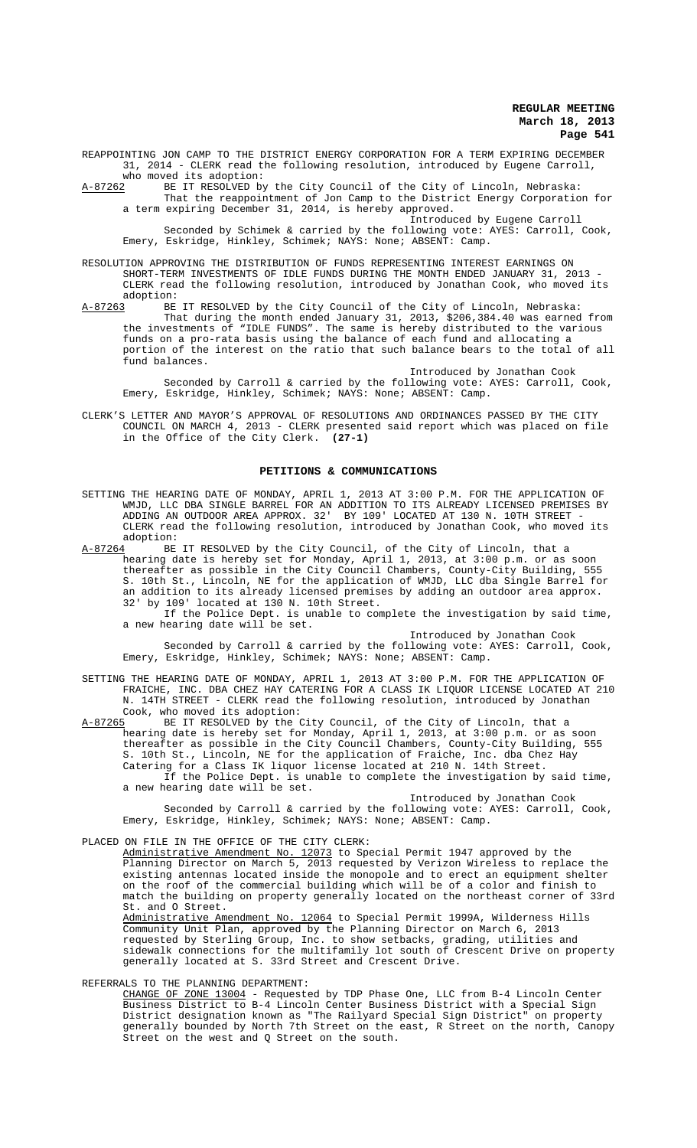REAPPOINTING JON CAMP TO THE DISTRICT ENERGY CORPORATION FOR A TERM EXPIRING DECEMBER 31, 2014 - CLERK read the following resolution, introduced by Eugene Carroll,

who moved its adoption:<br>A-87262 BE IT RESOLVED by BE IT RESOLVED by the City Council of the City of Lincoln, Nebraska: That the reappointment of Jon Camp to the District Energy Corporation for

a term expiring December 31, 2014, is hereby approved. Introduced by Eugene Carroll

Seconded by Schimek & carried by the following vote: AYES: Carroll, Cook, Emery, Eskridge, Hinkley, Schimek; NAYS: None; ABSENT: Camp.

RESOLUTION APPROVING THE DISTRIBUTION OF FUNDS REPRESENTING INTEREST EARNINGS ON SHORT-TERM INVESTMENTS OF IDLE FUNDS DURING THE MONTH ENDED JANUARY 31, 2013 -

CLERK read the following resolution, introduced by Jonathan Cook, who moved its adoption:<br>A-87263 BE BE IT RESOLVED by the City Council of the City of Lincoln, Nebraska:

That during the month ended January 31, 2013, \$206,384.40 was earned from the investments of "IDLE FUNDS". The same is hereby distributed to the various funds on a pro-rata basis using the balance of each fund and allocating a portion of the interest on the ratio that such balance bears to the total of all fund balances.

Introduced by Jonathan Cook

Seconded by Carroll & carried by the following vote: AYES: Carroll, Cook, Emery, Eskridge, Hinkley, Schimek; NAYS: None; ABSENT: Camp.

CLERK'S LETTER AND MAYOR'S APPROVAL OF RESOLUTIONS AND ORDINANCES PASSED BY THE CITY COUNCIL ON MARCH 4, 2013 - CLERK presented said report which was placed on file in the Office of the City Clerk. **(27-1)**

# **PETITIONS & COMMUNICATIONS**

SETTING THE HEARING DATE OF MONDAY, APRIL 1, 2013 AT 3:00 P.M. FOR THE APPLICATION OF WMJD, LLC DBA SINGLE BARREL FOR AN ADDITION TO ITS ALREADY LICENSED PREMISES BY ADDING AN OUTDOOR AREA APPROX. 32' BY 109' LOCATED AT 130 N. 10TH STREET CLERK read the following resolution, introduced by Jonathan Cook, who moved its

adoption:<br><u>A-87264</u> BE ---<br>BE IT RESOLVED by the City Council, of the City of Lincoln, that a hearing date is hereby set for Monday, April 1, 2013, at 3:00 p.m. or as soon thereafter as possible in the City Council Chambers, County-City Building, 555 S. 10th St., Lincoln, NE for the application of WMJD, LLC dba Single Barrel for an addition to its already licensed premises by adding an outdoor area approx. 32' by 109' located at 130 N. 10th Street.

If the Police Dept. is unable to complete the investigation by said time, a new hearing date will be set.

Introduced by Jonathan Cook

Seconded by Carroll & carried by the following vote: AYES: Carroll, Cook, Emery, Eskridge, Hinkley, Schimek; NAYS: None; ABSENT: Camp.

SETTING THE HEARING DATE OF MONDAY, APRIL 1, 2013 AT 3:00 P.M. FOR THE APPLICATION OF FRAICHE, INC. DBA CHEZ HAY CATERING FOR A CLASS IK LIQUOR LICENSE LOCATED AT 210 N. 14TH STREET - CLERK read the following resolution, introduced by Jonathan Cook, who moved its adoption:<br>A-87265 BE IT RESOLVED by the

A-87265 BE IT RESOLVED by the City Council, of the City of Lincoln, that a hearing date is hereby set for Monday, April 1, 2013, at 3:00 p.m. or as soon thereafter as possible in the City Council Chambers, County-City Building, 555 S. 10th St., Lincoln, NE for the application of Fraiche, Inc. dba Chez Hay Catering for a Class IK liquor license located at 210 N. 14th Street. If the Police Dept. is unable to complete the investigation by said time, a new hearing date will be set.

Introduced by Jonathan Cook Seconded by Carroll & carried by the following vote: AYES: Carroll, Cook, Emery, Eskridge, Hinkley, Schimek; NAYS: None; ABSENT: Camp.

PLACED ON FILE IN THE OFFICE OF THE CITY CLERK:

Administrative Amendment No. 12073 to Special Permit 1947 approved by the Planning Director on March 5, 2013 requested by Verizon Wireless to replace the existing antennas located inside the monopole and to erect an equipment shelter on the roof of the commercial building which will be of a color and finish to match the building on property generally located on the northeast corner of 33rd St. and O Street.<br>Administrative Amendment No.

12064 to Special Permit 1999A, Wilderness Hills Community Unit Plan, approved by the Planning Director on March 6, 2013 requested by Sterling Group, Inc. to show setbacks, grading, utilities and sidewalk connections for the multifamily lot south of Crescent Drive on property generally located at S. 33rd Street and Crescent Drive.

REFERRALS TO THE PLANNING DEPARTMENT:

CHANGE OF ZONE 13004 - Requested by TDP Phase One, LLC from B-4 Lincoln Center Business District to B-4 Lincoln Center Business District with a Special Sign District designation known as "The Railyard Special Sign District" on property generally bounded by North 7th Street on the east, R Street on the north, Canopy Street on the west and Q Street on the south.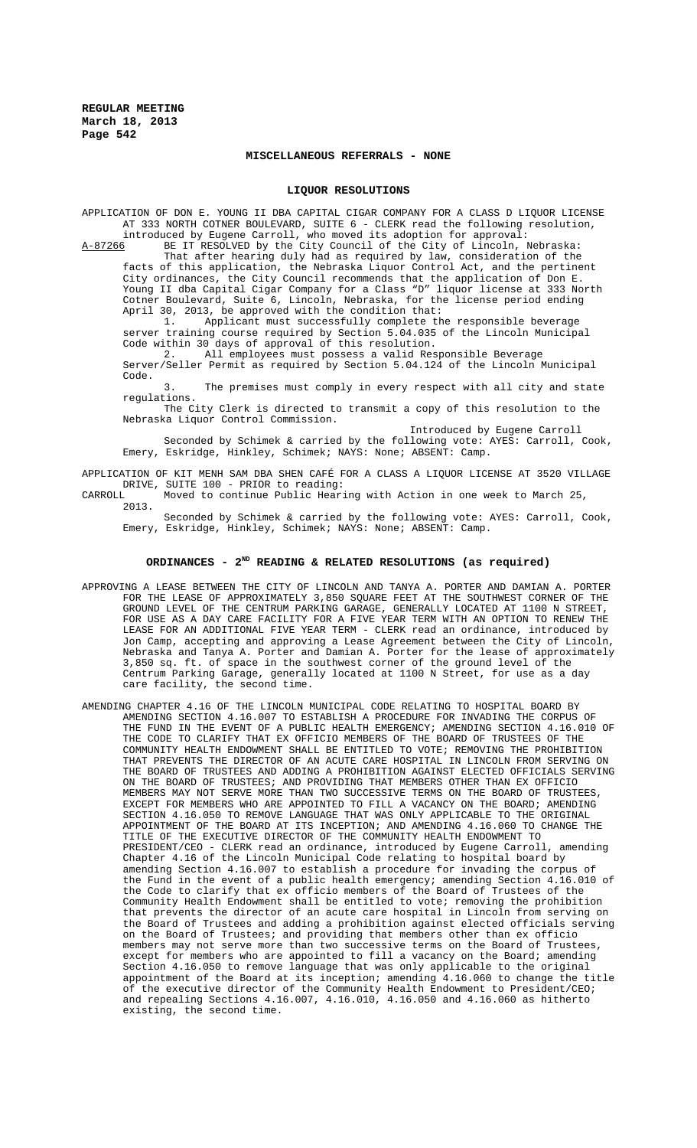#### **MISCELLANEOUS REFERRALS - NONE**

#### **LIQUOR RESOLUTIONS**

APPLICATION OF DON E. YOUNG II DBA CAPITAL CIGAR COMPANY FOR A CLASS D LIQUOR LICENSE AT 333 NORTH COTNER BOULEVARD, SUITE 6 - CLERK read the following resolution, introduced by Eugene Carroll, who moved its adoption for approval:

A-87266 BE IT RESOLVED by the City Council of the City of Lincoln, Nebraska: That after hearing duly had as required by law, consideration of the facts of this application, the Nebraska Liquor Control Act, and the pertinent City ordinances, the City Council recommends that the application of Don E. Young II dba Capital Cigar Company for a Class "D" liquor license at 333 North Cotner Boulevard, Suite 6, Lincoln, Nebraska, for the license period ending April 30, 2013, be approved with the condition that:<br>1. Applicant must successfully complete the

Applicant must successfully complete the responsible beverage server training course required by Section 5.04.035 of the Lincoln Municipal Code within 30 days of approval of this resolution.

2. All employees must possess a valid Responsible Beverage Server/Seller Permit as required by Section 5.04.124 of the Lincoln Municipal Code.

3. The premises must comply in every respect with all city and state regulations.

The City Clerk is directed to transmit a copy of this resolution to the Nebraska Liquor Control Commission.

Introduced by Eugene Carroll Seconded by Schimek & carried by the following vote: AYES: Carroll, Cook, Emery, Eskridge, Hinkley, Schimek; NAYS: None; ABSENT: Camp.

APPLICATION OF KIT MENH SAM DBA SHEN CAFÉ FOR A CLASS A LIQUOR LICENSE AT 3520 VILLAGE DRIVE, SUITE 100 - PRIOR to reading:<br>CARROLL Moved to continue Public Hear:

Moved to continue Public Hearing with Action in one week to March 25, 2013.

Seconded by Schimek & carried by the following vote: AYES: Carroll, Cook, Emery, Eskridge, Hinkley, Schimek; NAYS: None; ABSENT: Camp.

#### **ORDINANCES - 2ND READING & RELATED RESOLUTIONS (as required)**

- APPROVING A LEASE BETWEEN THE CITY OF LINCOLN AND TANYA A. PORTER AND DAMIAN A. PORTER FOR THE LEASE OF APPROXIMATELY 3,850 SQUARE FEET AT THE SOUTHWEST CORNER OF THE GROUND LEVEL OF THE CENTRUM PARKING GARAGE, GENERALLY LOCATED AT 1100 N STREET, FOR USE AS A DAY CARE FACILITY FOR A FIVE YEAR TERM WITH AN OPTION TO RENEW THE LEASE FOR AN ADDITIONAL FIVE YEAR TERM - CLERK read an ordinance, introduced by Jon Camp, accepting and approving a Lease Agreement between the City of Lincoln, Nebraska and Tanya A. Porter and Damian A. Porter for the lease of approximately 3,850 sq. ft. of space in the southwest corner of the ground level of the Centrum Parking Garage, generally located at 1100 N Street, for use as a day care facility, the second time.
- AMENDING CHAPTER 4.16 OF THE LINCOLN MUNICIPAL CODE RELATING TO HOSPITAL BOARD BY AMENDING SECTION 4.16.007 TO ESTABLISH A PROCEDURE FOR INVADING THE CORPUS OF THE FUND IN THE EVENT OF A PUBLIC HEALTH EMERGENCY; AMENDING SECTION 4.16.010 OF THE CODE TO CLARIFY THAT EX OFFICIO MEMBERS OF THE BOARD OF TRUSTEES OF THE COMMUNITY HEALTH ENDOWMENT SHALL BE ENTITLED TO VOTE; REMOVING THE PROHIBITION THAT PREVENTS THE DIRECTOR OF AN ACUTE CARE HOSPITAL IN LINCOLN FROM SERVING ON THE BOARD OF TRUSTEES AND ADDING A PROHIBITION AGAINST ELECTED OFFICIALS SERVING ON THE BOARD OF TRUSTEES; AND PROVIDING THAT MEMBERS OTHER THAN EX OFFICIO MEMBERS MAY NOT SERVE MORE THAN TWO SUCCESSIVE TERMS ON THE BOARD OF TRUSTEES, EXCEPT FOR MEMBERS WHO ARE APPOINTED TO FILL A VACANCY ON THE BOARD; AMENDING SECTION 4.16.050 TO REMOVE LANGUAGE THAT WAS ONLY APPLICABLE TO THE ORIGINAL APPOINTMENT OF THE BOARD AT ITS INCEPTION; AND AMENDING 4.16.060 TO CHANGE THE TITLE OF THE EXECUTIVE DIRECTOR OF THE COMMUNITY HEALTH ENDOWMENT TO PRESIDENT/CEO - CLERK read an ordinance, introduced by Eugene Carroll, amending Chapter 4.16 of the Lincoln Municipal Code relating to hospital board by amending Section 4.16.007 to establish a procedure for invading the corpus of the Fund in the event of a public health emergency; amending Section 4.16.010 of the Code to clarify that ex officio members of the Board of Trustees of the Community Health Endowment shall be entitled to vote; removing the prohibition that prevents the director of an acute care hospital in Lincoln from serving on the Board of Trustees and adding a prohibition against elected officials serving on the Board of Trustees; and providing that members other than ex officio members may not serve more than two successive terms on the Board of Trustees, except for members who are appointed to fill a vacancy on the Board; amending Section 4.16.050 to remove language that was only applicable to the original appointment of the Board at its inception; amending 4.16.060 to change the title of the executive director of the Community Health Endowment to President/CEO; and repealing Sections 4.16.007, 4.16.010, 4.16.050 and 4.16.060 as hitherto existing, the second time.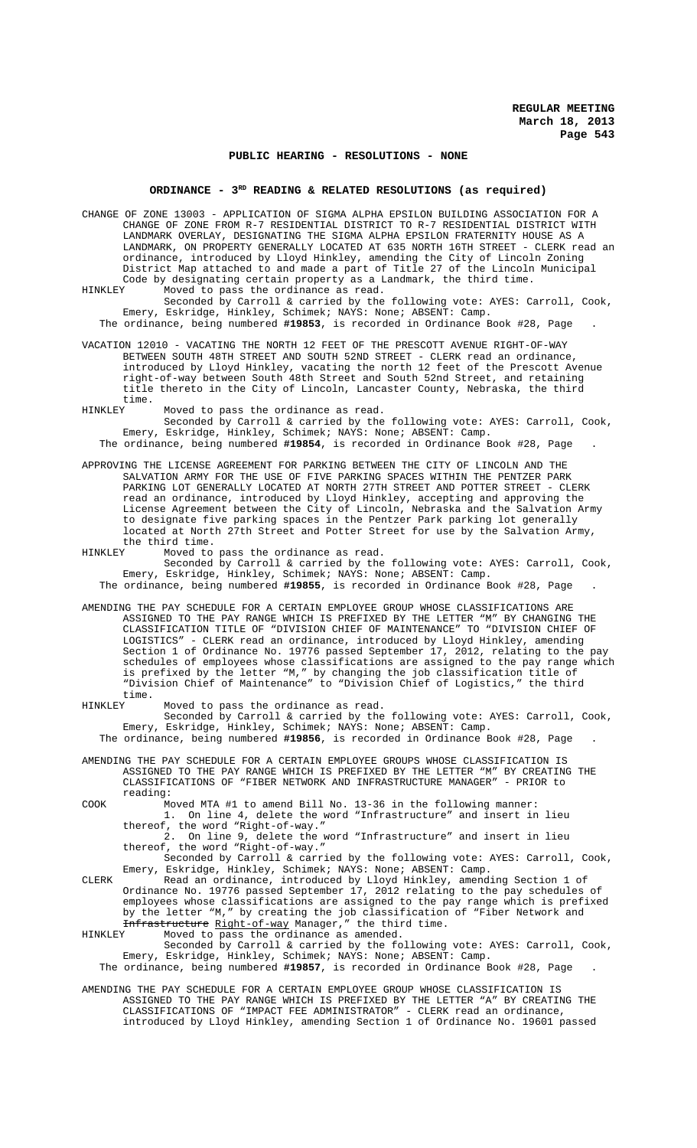### **PUBLIC HEARING - RESOLUTIONS - NONE**

# ORDINANCE - 3<sup>RD</sup> READING & RELATED RESOLUTIONS (as required)

CHANGE OF ZONE 13003 - APPLICATION OF SIGMA ALPHA EPSILON BUILDING ASSOCIATION FOR A CHANGE OF ZONE FROM R-7 RESIDENTIAL DISTRICT TO R-7 RESIDENTIAL DISTRICT WITH LANDMARK OVERLAY, DESIGNATING THE SIGMA ALPHA EPSILON FRATERNITY HOUSE AS A LANDMARK, ON PROPERTY GENERALLY LOCATED AT 635 NORTH 16TH STREET - CLERK read an ordinance, introduced by Lloyd Hinkley, amending the City of Lincoln Zoning District Map attached to and made a part of Title 27 of the Lincoln Municipal Code by designating certain property as a Landmark, the third time.<br>HINKLEY Moved to pass the ordinance as read.

Moved to pass the ordinance as read. Seconded by Carroll & carried by the following vote: AYES: Carroll, Cook, Emery, Eskridge, Hinkley, Schimek; NAYS: None; ABSENT: Camp. The ordinance, being numbered **#19853**, is recorded in Ordinance Book #28, Page .

VACATION 12010 - VACATING THE NORTH 12 FEET OF THE PRESCOTT AVENUE RIGHT-OF-WAY BETWEEN SOUTH 48TH STREET AND SOUTH 52ND STREET - CLERK read an ordinance, introduced by Lloyd Hinkley, vacating the north 12 feet of the Prescott Avenue right-of-way between South 48th Street and South 52nd Street, and retaining title thereto in the City of Lincoln, Lancaster County, Nebraska, the third time.<br>HINKLEY

Moved to pass the ordinance as read.

Seconded by Carroll & carried by the following vote: AYES: Carroll, Cook, Emery, Eskridge, Hinkley, Schimek; NAYS: None; ABSENT: Camp. The ordinance, being numbered **#19854**, is recorded in Ordinance Book #28, Page .

APPROVING THE LICENSE AGREEMENT FOR PARKING BETWEEN THE CITY OF LINCOLN AND THE SALVATION ARMY FOR THE USE OF FIVE PARKING SPACES WITHIN THE PENTZER PARK PARKING LOT GENERALLY LOCATED AT NORTH 27TH STREET AND POTTER STREET - CLERK read an ordinance, introduced by Lloyd Hinkley, accepting and approving the License Agreement between the City of Lincoln, Nebraska and the Salvation Army to designate five parking spaces in the Pentzer Park parking lot generally located at North 27th Street and Potter Street for use by the Salvation Army, the third time.<br>HINKLEY Moved to

Moved to pass the ordinance as read. Seconded by Carroll & carried by the following vote: AYES: Carroll, Cook, Emery, Eskridge, Hinkley, Schimek; NAYS: None; ABSENT: Camp. The ordinance, being numbered **#19855**, is recorded in Ordinance Book #28, Page .

AMENDING THE PAY SCHEDULE FOR A CERTAIN EMPLOYEE GROUP WHOSE CLASSIFICATIONS ARE ASSIGNED TO THE PAY RANGE WHICH IS PREFIXED BY THE LETTER "M" BY CHANGING THE CLASSIFICATION TITLE OF "DIVISION CHIEF OF MAINTENANCE" TO "DIVISION CHIEF OF LOGISTICS" - CLERK read an ordinance, introduced by Lloyd Hinkley, amending Section 1 of Ordinance No. 19776 passed September 17, 2012, relating to the pay schedules of employees whose classifications are assigned to the pay range which is prefixed by the letter "M," by changing the job classification title of "Division Chief of Maintenance" to "Division Chief of Logistics," the third

time.<br>HINKLEY Moved to pass the ordinance as read. Seconded by Carroll & carried by the following vote: AYES: Carroll, Cook, Emery, Eskridge, Hinkley, Schimek; NAYS: None; ABSENT: Camp. The ordinance, being numbered **#19856**, is recorded in Ordinance Book #28, Page .

AMENDING THE PAY SCHEDULE FOR A CERTAIN EMPLOYEE GROUPS WHOSE CLASSIFICATION IS ASSIGNED TO THE PAY RANGE WHICH IS PREFIXED BY THE LETTER "M" BY CREATING THE CLASSIFICATIONS OF "FIBER NETWORK AND INFRASTRUCTURE MANAGER" - PRIOR to reading:

COOK Moved MTA #1 to amend Bill No. 13-36 in the following manner:

1. On line 4, delete the word "Infrastructure" and insert in lieu 1. On line 4, delete the thereof, the word "Right-of-way."<br>2. On line 9, delete the t

2. On line 9, delete the word "Infrastructure" and insert in lieu thereof, the word "Right-of-way."

Seconded by Carroll & carried by the following vote: AYES: Carroll, Cook, Emery, Eskridge, Hinkley, Schimek; NAYS: None; ABSENT: Camp.

CLERK Read an ordinance, introduced by Lloyd Hinkley, amending Section 1 of Ordinance No. 19776 passed September 17, 2012 relating to the pay schedules of employees whose classifications are assigned to the pay range which is prefixed by the letter "M," by creating the job classification of "Fiber Network and Infrastructure Right-of-way Manager," the third time.<br>HINKLEY Moved to pass the ordinance as amended.

Moved to pass the ordinance as amended. Seconded by Carroll & carried by the following vote: AYES: Carroll, Cook, Emery, Eskridge, Hinkley, Schimek; NAYS: None; ABSENT: Camp.

The ordinance, being numbered **#19857**, is recorded in Ordinance Book #28, Page .

AMENDING THE PAY SCHEDULE FOR A CERTAIN EMPLOYEE GROUP WHOSE CLASSIFICATION IS ASSIGNED TO THE PAY RANGE WHICH IS PREFIXED BY THE LETTER "A" BY CREATING THE CLASSIFICATIONS OF "IMPACT FEE ADMINISTRATOR" - CLERK read an ordinance, introduced by Lloyd Hinkley, amending Section 1 of Ordinance No. 19601 passed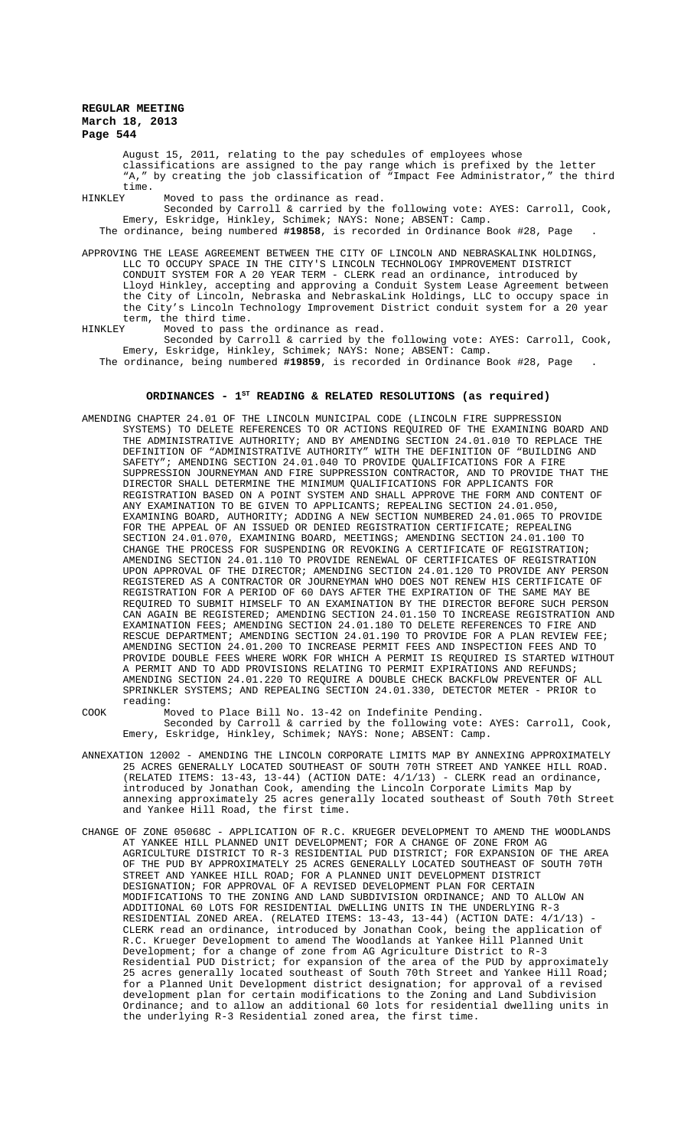August 15, 2011, relating to the pay schedules of employees whose classifications are assigned to the pay range which is prefixed by the letter "A," by creating the job classification of "Impact Fee Administrator," the third time.<br>HINKLEY

Moved to pass the ordinance as read.

Seconded by Carroll & carried by the following vote: AYES: Carroll, Cook, Emery, Eskridge, Hinkley, Schimek; NAYS: None; ABSENT: Camp. The ordinance, being numbered **#19858**, is recorded in Ordinance Book #28, Page .

APPROVING THE LEASE AGREEMENT BETWEEN THE CITY OF LINCOLN AND NEBRASKALINK HOLDINGS, LLC TO OCCUPY SPACE IN THE CITY'S LINCOLN TECHNOLOGY IMPROVEMENT DISTRICT CONDUIT SYSTEM FOR A 20 YEAR TERM - CLERK read an ordinance, introduced by Lloyd Hinkley, accepting and approving a Conduit System Lease Agreement between the City of Lincoln, Nebraska and NebraskaLink Holdings, LLC to occupy space in the City's Lincoln Technology Improvement District conduit system for a 20 year term, the third time.<br>HINKLEY Moved to pass i

Moved to pass the ordinance as read.

Seconded by Carroll & carried by the following vote: AYES: Carroll, Cook, Emery, Eskridge, Hinkley, Schimek; NAYS: None; ABSENT: Camp. The ordinance, being numbered **#19859**, is recorded in Ordinance Book #28, Page .

# **ORDINANCES - 1ST READING & RELATED RESOLUTIONS (as required)**

AMENDING CHAPTER 24.01 OF THE LINCOLN MUNICIPAL CODE (LINCOLN FIRE SUPPRESSION SYSTEMS) TO DELETE REFERENCES TO OR ACTIONS REQUIRED OF THE EXAMINING BOARD AND THE ADMINISTRATIVE AUTHORITY; AND BY AMENDING SECTION 24.01.010 TO REPLACE THE DEFINITION OF "ADMINISTRATIVE AUTHORITY" WITH THE DEFINITION OF "BUILDING AND SAFETY"; AMENDING SECTION 24.01.040 TO PROVIDE QUALIFICATIONS FOR A FIRE SUPPRESSION JOURNEYMAN AND FIRE SUPPRESSION CONTRACTOR, AND TO PROVIDE THAT THE DIRECTOR SHALL DETERMINE THE MINIMUM QUALIFICATIONS FOR APPLICANTS FOR REGISTRATION BASED ON A POINT SYSTEM AND SHALL APPROVE THE FORM AND CONTENT OF ANY EXAMINATION TO BE GIVEN TO APPLICANTS; REPEALING SECTION 24.01.050, EXAMINING BOARD, AUTHORITY; ADDING A NEW SECTION NUMBERED 24.01.065 TO PROVIDE FOR THE APPEAL OF AN ISSUED OR DENIED REGISTRATION CERTIFICATE; REPEALING SECTION 24.01.070, EXAMINING BOARD, MEETINGS; AMENDING SECTION 24.01.100 TO CHANGE THE PROCESS FOR SUSPENDING OR REVOKING A CERTIFICATE OF REGISTRATION; AMENDING SECTION 24.01.110 TO PROVIDE RENEWAL OF CERTIFICATES OF REGISTRATION UPON APPROVAL OF THE DIRECTOR; AMENDING SECTION 24.01.120 TO PROVIDE ANY PERSON REGISTERED AS A CONTRACTOR OR JOURNEYMAN WHO DOES NOT RENEW HIS CERTIFICATE OF REGISTRATION FOR A PERIOD OF 60 DAYS AFTER THE EXPIRATION OF THE SAME MAY BE REQUIRED TO SUBMIT HIMSELF TO AN EXAMINATION BY THE DIRECTOR BEFORE SUCH PERSON CAN AGAIN BE REGISTERED; AMENDING SECTION 24.01.150 TO INCREASE REGISTRATION AND EXAMINATION FEES; AMENDING SECTION 24.01.180 TO DELETE REFERENCES TO FIRE AND RESCUE DEPARTMENT; AMENDING SECTION 24.01.190 TO PROVIDE FOR A PLAN REVIEW FEE; AMENDING SECTION 24.01.200 TO INCREASE PERMIT FEES AND INSPECTION FEES AND TO PROVIDE DOUBLE FEES WHERE WORK FOR WHICH A PERMIT IS REQUIRED IS STARTED WITHOUT A PERMIT AND TO ADD PROVISIONS RELATING TO PERMIT EXPIRATIONS AND REFUNDS; AMENDING SECTION 24.01.220 TO REQUIRE A DOUBLE CHECK BACKFLOW PREVENTER OF ALL SPRINKLER SYSTEMS; AND REPEALING SECTION 24.01.330, DETECTOR METER - PRIOR to reading:

COOK Moved to Place Bill No. 13-42 on Indefinite Pending. Seconded by Carroll & carried by the following vote: AYES: Carroll, Cook, Emery, Eskridge, Hinkley, Schimek; NAYS: None; ABSENT: Camp.

- ANNEXATION 12002 AMENDING THE LINCOLN CORPORATE LIMITS MAP BY ANNEXING APPROXIMATELY 25 ACRES GENERALLY LOCATED SOUTHEAST OF SOUTH 70TH STREET AND YANKEE HILL ROAD. (RELATED ITEMS:  $13-43$ ,  $13-44$ ) (ACTION DATE:  $4/1/13$ ) - CLERK read an ordinance, introduced by Jonathan Cook, amending the Lincoln Corporate Limits Map by annexing approximately 25 acres generally located southeast of South 70th Street and Yankee Hill Road, the first time.
- CHANGE OF ZONE 05068C APPLICATION OF R.C. KRUEGER DEVELOPMENT TO AMEND THE WOODLANDS AT YANKEE HILL PLANNED UNIT DEVELOPMENT; FOR A CHANGE OF ZONE FROM AG AGRICULTURE DISTRICT TO R-3 RESIDENTIAL PUD DISTRICT; FOR EXPANSION OF THE AREA OF THE PUD BY APPROXIMATELY 25 ACRES GENERALLY LOCATED SOUTHEAST OF SOUTH 70TH STREET AND YANKEE HILL ROAD; FOR A PLANNED UNIT DEVELOPMENT DISTRICT DESIGNATION; FOR APPROVAL OF A REVISED DEVELOPMENT PLAN FOR CERTAIN MODIFICATIONS TO THE ZONING AND LAND SUBDIVISION ORDINANCE; AND TO ALLOW AN ADDITIONAL 60 LOTS FOR RESIDENTIAL DWELLING UNITS IN THE UNDERLYING R-3 RESIDENTIAL ZONED AREA. (RELATED ITEMS: 13-43, 13-44) (ACTION DATE: 4/1/13) - CLERK read an ordinance, introduced by Jonathan Cook, being the application of R.C. Krueger Development to amend The Woodlands at Yankee Hill Planned Unit Development; for a change of zone from AG Agriculture District to R-3 Residential PUD District; for expansion of the area of the PUD by approximately 25 acres generally located southeast of South 70th Street and Yankee Hill Road; for a Planned Unit Development district designation; for approval of a revised development plan for certain modifications to the Zoning and Land Subdivision Ordinance; and to allow an additional 60 lots for residential dwelling units in the underlying R-3 Residential zoned area, the first time.